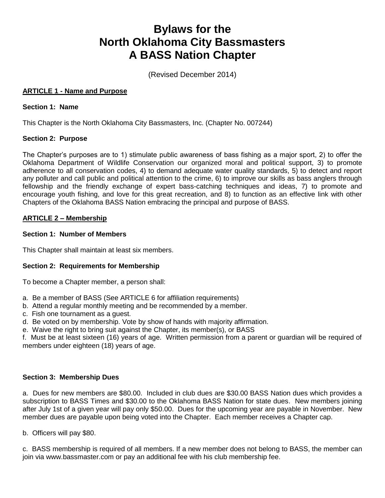# **Bylaws for the North Oklahoma City Bassmasters A BASS Nation Chapter**

(Revised December 2014)

# **ARTICLE 1 - Name and Purpose**

## **Section 1: Name**

This Chapter is the North Oklahoma City Bassmasters, Inc. (Chapter No. 007244)

## **Section 2: Purpose**

The Chapter's purposes are to 1) stimulate public awareness of bass fishing as a major sport, 2) to offer the Oklahoma Department of Wildlife Conservation our organized moral and political support, 3) to promote adherence to all conservation codes, 4) to demand adequate water quality standards, 5) to detect and report any polluter and call public and political attention to the crime, 6) to improve our skills as bass anglers through fellowship and the friendly exchange of expert bass-catching techniques and ideas, 7) to promote and encourage youth fishing, and love for this great recreation, and 8) to function as an effective link with other Chapters of the Oklahoma BASS Nation embracing the principal and purpose of BASS.

## **ARTICLE 2 – Membership**

#### **Section 1: Number of Members**

This Chapter shall maintain at least six members.

## **Section 2: Requirements for Membership**

To become a Chapter member, a person shall:

- a. Be a member of BASS (See ARTICLE 6 for affiliation requirements)
- b. Attend a regular monthly meeting and be recommended by a member.
- c. Fish one tournament as a guest.
- d. Be voted on by membership. Vote by show of hands with majority affirmation.
- e. Waive the right to bring suit against the Chapter, its member(s), or BASS

f. Must be at least sixteen (16) years of age. Written permission from a parent or guardian will be required of members under eighteen (18) years of age.

## **Section 3: Membership Dues**

a. Dues for new members are \$80.00. Included in club dues are \$30.00 BASS Nation dues which provides a subscription to BASS Times and \$30.00 to the Oklahoma BASS Nation for state dues. New members joining after July 1st of a given year will pay only \$50.00. Dues for the upcoming year are payable in November. New member dues are payable upon being voted into the Chapter. Each member receives a Chapter cap.

b. Officers will pay \$80.

c. BASS membership is required of all members. If a new member does not belong to BASS, the member can join via www.bassmaster.com or pay an additional fee with his club membership fee.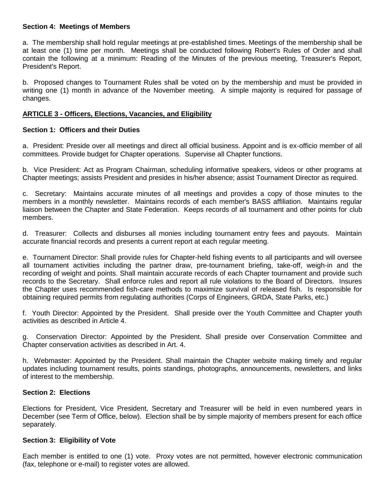#### **Section 4: Meetings of Members**

a. The membership shall hold regular meetings at pre-established times. Meetings of the membership shall be at least one (1) time per month. Meetings shall be conducted following Robert's Rules of Order and shall contain the following at a minimum: Reading of the Minutes of the previous meeting, Treasurer's Report, President's Report.

b. Proposed changes to Tournament Rules shall be voted on by the membership and must be provided in writing one (1) month in advance of the November meeting. A simple majority is required for passage of changes.

## **ARTICLE 3 - Officers, Elections, Vacancies, and Eligibility**

#### **Section 1: Officers and their Duties**

a. President: Preside over all meetings and direct all official business. Appoint and is ex-officio member of all committees. Provide budget for Chapter operations. Supervise all Chapter functions.

b. Vice President: Act as Program Chairman, scheduling informative speakers, videos or other programs at Chapter meetings; assists President and presides in his/her absence; assist Tournament Director as required.

c. Secretary: Maintains accurate minutes of all meetings and provides a copy of those minutes to the members in a monthly newsletter. Maintains records of each member's BASS affiliation. Maintains regular liaison between the Chapter and State Federation. Keeps records of all tournament and other points for club members.

d. Treasurer: Collects and disburses all monies including tournament entry fees and payouts. Maintain accurate financial records and presents a current report at each regular meeting.

e. Tournament Director: Shall provide rules for Chapter-held fishing events to all participants and will oversee all tournament activities including the partner draw, pre-tournament briefing, take-off, weigh-in and the recording of weight and points. Shall maintain accurate records of each Chapter tournament and provide such records to the Secretary. Shall enforce rules and report all rule violations to the Board of Directors. Insures the Chapter uses recommended fish-care methods to maximize survival of released fish. Is responsible for obtaining required permits from regulating authorities (Corps of Engineers, GRDA, State Parks, etc.)

f. Youth Director: Appointed by the President. Shall preside over the Youth Committee and Chapter youth activities as described in Article 4.

g. Conservation Director: Appointed by the President. Shall preside over Conservation Committee and Chapter conservation activities as described in Art. 4.

h. Webmaster: Appointed by the President. Shall maintain the Chapter website making timely and regular updates including tournament results, points standings, photographs, announcements, newsletters, and links of interest to the membership.

#### **Section 2: Elections**

Elections for President, Vice President, Secretary and Treasurer will be held in even numbered years in December (see Term of Office, below). Election shall be by simple majority of members present for each office separately.

#### **Section 3: Eligibility of Vote**

Each member is entitled to one (1) vote. Proxy votes are not permitted, however electronic communication (fax, telephone or e-mail) to register votes are allowed.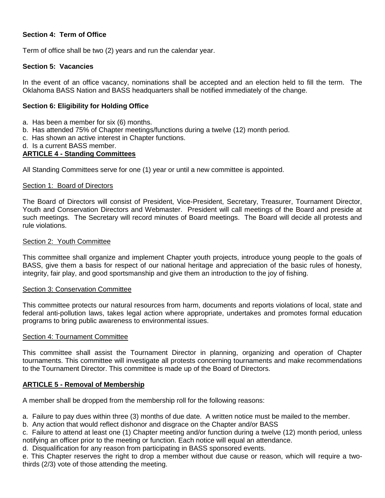# **Section 4: Term of Office**

Term of office shall be two (2) years and run the calendar year.

## **Section 5: Vacancies**

In the event of an office vacancy, nominations shall be accepted and an election held to fill the term. The Oklahoma BASS Nation and BASS headquarters shall be notified immediately of the change.

#### **Section 6: Eligibility for Holding Office**

- a. Has been a member for six (6) months.
- b. Has attended 75% of Chapter meetings/functions during a twelve (12) month period.
- c. Has shown an active interest in Chapter functions.
- d. Is a current BASS member.

#### **ARTICLE 4 - Standing Committees**

All Standing Committees serve for one (1) year or until a new committee is appointed.

#### Section 1: Board of Directors

The Board of Directors will consist of President, Vice-President, Secretary, Treasurer, Tournament Director, Youth and Conservation Directors and Webmaster. President will call meetings of the Board and preside at such meetings. The Secretary will record minutes of Board meetings. The Board will decide all protests and rule violations.

#### Section 2: Youth Committee

This committee shall organize and implement Chapter youth projects, introduce young people to the goals of BASS, give them a basis for respect of our national heritage and appreciation of the basic rules of honesty, integrity, fair play, and good sportsmanship and give them an introduction to the joy of fishing.

#### Section 3: Conservation Committee

This committee protects our natural resources from harm, documents and reports violations of local, state and federal anti-pollution laws, takes legal action where appropriate, undertakes and promotes formal education programs to bring public awareness to environmental issues.

#### Section 4: Tournament Committee

This committee shall assist the Tournament Director in planning, organizing and operation of Chapter tournaments. This committee will investigate all protests concerning tournaments and make recommendations to the Tournament Director. This committee is made up of the Board of Directors.

#### **ARTICLE 5 - Removal of Membership**

A member shall be dropped from the membership roll for the following reasons:

a. Failure to pay dues within three (3) months of due date. A written notice must be mailed to the member.

b. Any action that would reflect dishonor and disgrace on the Chapter and/or BASS

c. Failure to attend at least one (1) Chapter meeting and/or function during a twelve (12) month period, unless notifying an officer prior to the meeting or function. Each notice will equal an attendance.

d. Disqualification for any reason from participating in BASS sponsored events.

e. This Chapter reserves the right to drop a member without due cause or reason, which will require a twothirds (2/3) vote of those attending the meeting.